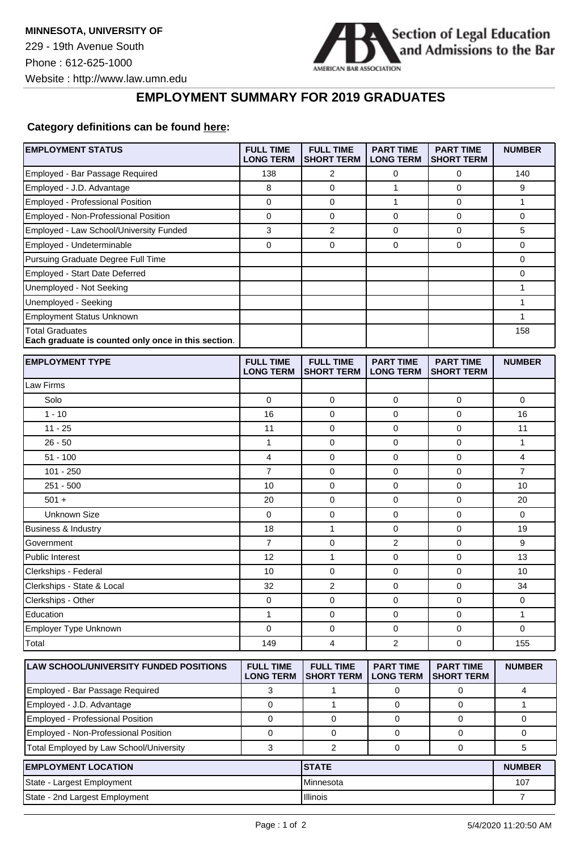

## **EMPLOYMENT SUMMARY FOR 2019 GRADUATES**

## **Category definitions can be found [here:](https://www.americanbar.org/content/dam/aba/administrative/legal_education_and_admissions_to_the_bar/Questionnaires/2020employmentquestionnaire/2020-aba-employment-protocols-class-of-2019.pdf)**

| <b>EMPLOYMENT STATUS</b>                                                      | <b>FULL TIME</b><br><b>LONG TERM</b> | <b>FULL TIME</b><br><b>SHORT TERM</b> | <b>PART TIME</b><br><b>LONG TERM</b> | <b>PART TIME</b><br><b>SHORT TERM</b> | <b>NUMBER</b>  |
|-------------------------------------------------------------------------------|--------------------------------------|---------------------------------------|--------------------------------------|---------------------------------------|----------------|
| Employed - Bar Passage Required                                               | 138                                  | $\overline{2}$                        | 0                                    | $\mathbf 0$                           | 140            |
| Employed - J.D. Advantage                                                     | 8                                    | $\mathbf 0$                           | 1                                    | 0                                     | 9              |
| Employed - Professional Position                                              | 0                                    | 0                                     | 1                                    | 0                                     | 1              |
| Employed - Non-Professional Position                                          | 0                                    | $\mathbf 0$                           | 0                                    | $\mathbf 0$                           | 0              |
| Employed - Law School/University Funded                                       | 3                                    | 2                                     | 0                                    | 0                                     | 5              |
| Employed - Undeterminable                                                     | 0                                    | $\mathbf 0$                           | 0                                    | $\mathbf 0$                           | 0              |
| Pursuing Graduate Degree Full Time                                            |                                      |                                       |                                      |                                       | 0              |
| Employed - Start Date Deferred                                                |                                      |                                       |                                      |                                       | 0              |
| Unemployed - Not Seeking                                                      |                                      |                                       |                                      |                                       | 1              |
| Unemployed - Seeking                                                          |                                      |                                       |                                      |                                       | 1              |
| <b>Employment Status Unknown</b>                                              |                                      |                                       |                                      |                                       | 1              |
| <b>Total Graduates</b><br>Each graduate is counted only once in this section. |                                      |                                       |                                      |                                       | 158            |
| <b>EMPLOYMENT TYPE</b>                                                        | <b>FULL TIME</b><br><b>LONG TERM</b> | <b>FULL TIME</b><br><b>SHORT TERM</b> | <b>PART TIME</b><br><b>LONG TERM</b> | <b>PART TIME</b><br><b>SHORT TERM</b> | <b>NUMBER</b>  |
| Law Firms                                                                     |                                      |                                       |                                      |                                       |                |
| Solo                                                                          | $\pmb{0}$                            | $\mathbf 0$                           | $\mathbf 0$                          | $\pmb{0}$                             | $\mathbf 0$    |
| $1 - 10$                                                                      | 16                                   | 0                                     | $\mathbf 0$                          | 0                                     | 16             |
| $11 - 25$                                                                     | 11                                   | 0                                     | 0                                    | $\mathbf 0$                           | 11             |
| $26 - 50$                                                                     | 1                                    | $\mathbf 0$                           | 0                                    | $\mathbf 0$                           | 1              |
| $51 - 100$                                                                    | 4                                    | $\mathbf 0$                           | $\mathbf 0$                          | $\mathbf 0$                           | 4              |
| $101 - 250$                                                                   | 7                                    | 0                                     | 0                                    | 0                                     | 7              |
| $251 - 500$                                                                   | 10                                   | $\mathbf 0$                           | 0                                    | $\mathbf 0$                           | 10             |
| $501 +$                                                                       | 20                                   | $\mathbf 0$                           | 0                                    | $\mathbf 0$                           | 20             |
| Unknown Size                                                                  | 0                                    | $\mathbf 0$                           | 0                                    | 0                                     | 0              |
| Business & Industry                                                           | 18                                   | $\mathbf{1}$                          | 0                                    | 0                                     | 19             |
| Government                                                                    | 7                                    | 0                                     | 2                                    | 0                                     | 9              |
| Public Interest                                                               | 12                                   | $\mathbf{1}$                          | 0                                    | $\mathbf 0$                           | 13             |
| Clerkships - Federal                                                          | 10                                   | $\mathbf 0$                           | 0                                    | $\mathbf 0$                           | 10             |
| Clerkships - State & Local                                                    | 32                                   | $\overline{c}$                        | $\mathbf 0$                          | 0                                     | 34             |
| Clerkships - Other                                                            | 0                                    | 0                                     | 0                                    | 0                                     | 0              |
| Education                                                                     | 1                                    | $\mathbf 0$                           | 0                                    | $\mathbf 0$                           | 1              |
| Employer Type Unknown                                                         | 0                                    | 0                                     | 0                                    | 0                                     | 0              |
| Total                                                                         | 149                                  | 4                                     | 2                                    | $\Omega$                              | 155            |
| <b>LAW SCHOOL/UNIVERSITY FUNDED POSITIONS</b>                                 | <b>FULL TIME</b><br><b>LONG TERM</b> | <b>FULL TIME</b><br><b>SHORT TERM</b> | <b>PART TIME</b><br><b>LONG TERM</b> | <b>PART TIME</b><br><b>SHORT TERM</b> | <b>NUMBER</b>  |
| Employed - Bar Passage Required                                               | 3                                    | 1                                     | 0                                    | 0                                     | 4              |
| Employed - J.D. Advantage                                                     | 0                                    | 1                                     | 0                                    | 0                                     | $\mathbf{1}$   |
| Employed - Professional Position                                              | $\mathbf 0$                          | $\pmb{0}$                             | $\mathbf 0$                          | $\mathbf 0$                           | 0              |
| Employed - Non-Professional Position                                          | 0                                    | 0                                     | 0                                    | 0                                     | 0              |
| Total Employed by Law School/University                                       | 3                                    | 2                                     | 0                                    | $\mathbf 0$                           | 5              |
| <b>EMPLOYMENT LOCATION</b>                                                    |                                      | <b>STATE</b>                          |                                      |                                       | <b>NUMBER</b>  |
| State - Largest Employment                                                    |                                      | Minnesota                             |                                      |                                       | 107            |
| State - 2nd Largest Employment                                                |                                      | Illinois                              |                                      |                                       | $\overline{7}$ |